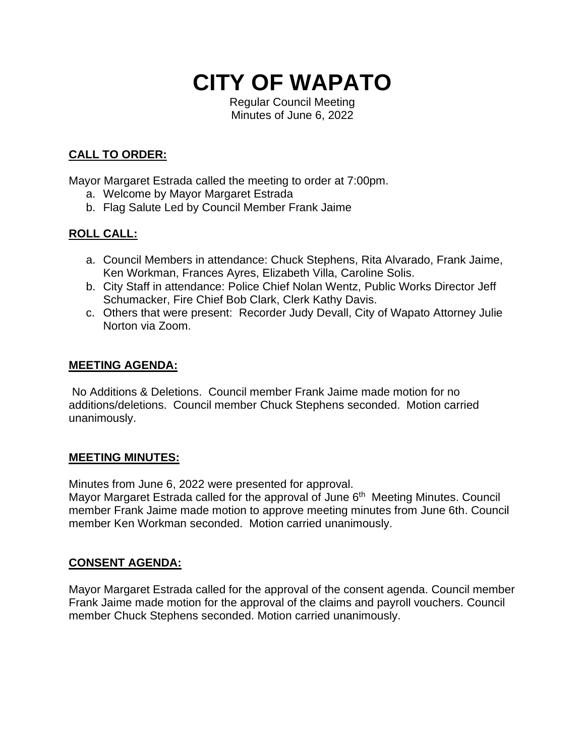# **CITY OF WAPATO**

Regular Council Meeting Minutes of June 6, 2022

# **CALL TO ORDER:**

Mayor Margaret Estrada called the meeting to order at 7:00pm.

- a. Welcome by Mayor Margaret Estrada
- b. Flag Salute Led by Council Member Frank Jaime

# **ROLL CALL:**

- a. Council Members in attendance: Chuck Stephens, Rita Alvarado, Frank Jaime, Ken Workman, Frances Ayres, Elizabeth Villa, Caroline Solis.
- b. City Staff in attendance: Police Chief Nolan Wentz, Public Works Director Jeff Schumacker, Fire Chief Bob Clark, Clerk Kathy Davis.
- c. Others that were present: Recorder Judy Devall, City of Wapato Attorney Julie Norton via Zoom.

#### **MEETING AGENDA:**

No Additions & Deletions. Council member Frank Jaime made motion for no additions/deletions. Council member Chuck Stephens seconded. Motion carried unanimously.

#### **MEETING MINUTES:**

Minutes from June 6, 2022 were presented for approval.

Mayor Margaret Estrada called for the approval of June 6<sup>th</sup> Meeting Minutes. Council member Frank Jaime made motion to approve meeting minutes from June 6th. Council member Ken Workman seconded. Motion carried unanimously.

## **CONSENT AGENDA:**

Mayor Margaret Estrada called for the approval of the consent agenda. Council member Frank Jaime made motion for the approval of the claims and payroll vouchers. Council member Chuck Stephens seconded. Motion carried unanimously.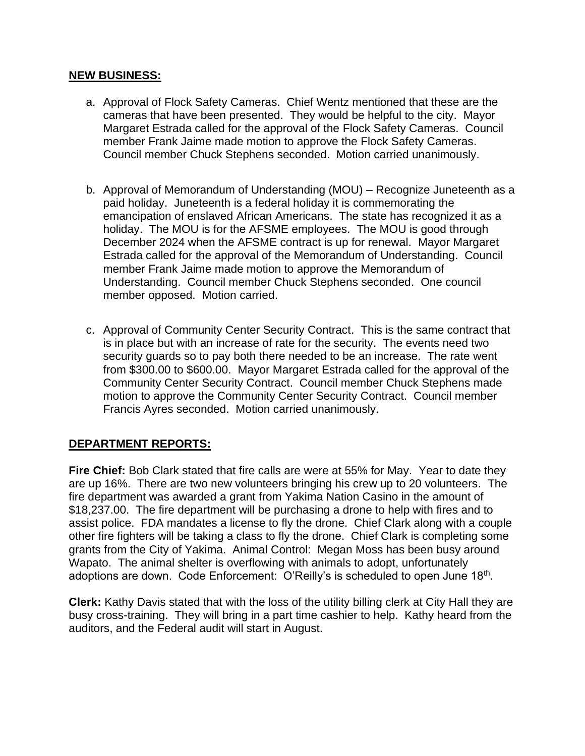#### **NEW BUSINESS:**

- a. Approval of Flock Safety Cameras. Chief Wentz mentioned that these are the cameras that have been presented. They would be helpful to the city. Mayor Margaret Estrada called for the approval of the Flock Safety Cameras. Council member Frank Jaime made motion to approve the Flock Safety Cameras. Council member Chuck Stephens seconded. Motion carried unanimously.
- b. Approval of Memorandum of Understanding (MOU) Recognize Juneteenth as a paid holiday. Juneteenth is a federal holiday it is commemorating the emancipation of enslaved African Americans. The state has recognized it as a holiday. The MOU is for the AFSME employees. The MOU is good through December 2024 when the AFSME contract is up for renewal. Mayor Margaret Estrada called for the approval of the Memorandum of Understanding. Council member Frank Jaime made motion to approve the Memorandum of Understanding. Council member Chuck Stephens seconded. One council member opposed. Motion carried.
- c. Approval of Community Center Security Contract. This is the same contract that is in place but with an increase of rate for the security. The events need two security guards so to pay both there needed to be an increase. The rate went from \$300.00 to \$600.00. Mayor Margaret Estrada called for the approval of the Community Center Security Contract. Council member Chuck Stephens made motion to approve the Community Center Security Contract. Council member Francis Ayres seconded. Motion carried unanimously.

## **DEPARTMENT REPORTS:**

**Fire Chief:** Bob Clark stated that fire calls are were at 55% for May. Year to date they are up 16%. There are two new volunteers bringing his crew up to 20 volunteers. The fire department was awarded a grant from Yakima Nation Casino in the amount of \$18,237.00. The fire department will be purchasing a drone to help with fires and to assist police. FDA mandates a license to fly the drone. Chief Clark along with a couple other fire fighters will be taking a class to fly the drone. Chief Clark is completing some grants from the City of Yakima. Animal Control: Megan Moss has been busy around Wapato. The animal shelter is overflowing with animals to adopt, unfortunately adoptions are down. Code Enforcement: O'Reilly's is scheduled to open June 18<sup>th</sup>.

**Clerk:** Kathy Davis stated that with the loss of the utility billing clerk at City Hall they are busy cross-training. They will bring in a part time cashier to help. Kathy heard from the auditors, and the Federal audit will start in August.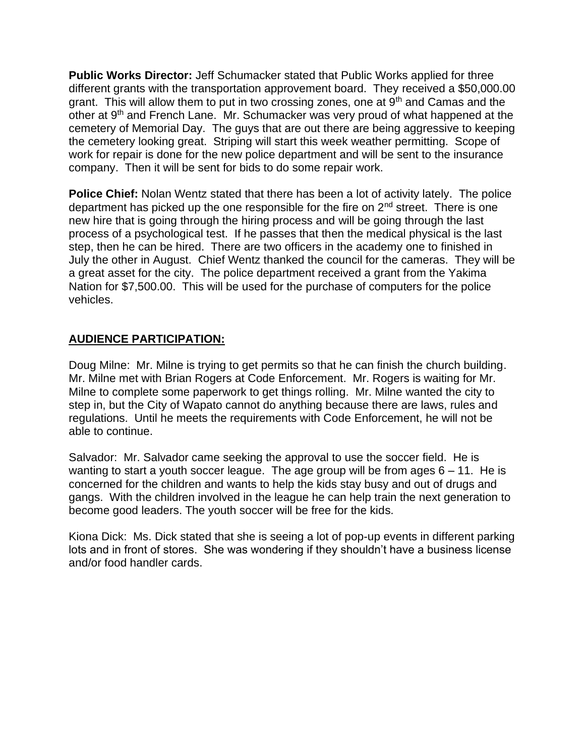**Public Works Director:** Jeff Schumacker stated that Public Works applied for three different grants with the transportation approvement board. They received a \$50,000.00 grant. This will allow them to put in two crossing zones, one at  $9<sup>th</sup>$  and Camas and the other at 9th and French Lane. Mr. Schumacker was very proud of what happened at the cemetery of Memorial Day. The guys that are out there are being aggressive to keeping the cemetery looking great. Striping will start this week weather permitting. Scope of work for repair is done for the new police department and will be sent to the insurance company. Then it will be sent for bids to do some repair work.

**Police Chief:** Nolan Wentz stated that there has been a lot of activity lately. The police department has picked up the one responsible for the fire on  $2<sup>nd</sup>$  street. There is one new hire that is going through the hiring process and will be going through the last process of a psychological test. If he passes that then the medical physical is the last step, then he can be hired. There are two officers in the academy one to finished in July the other in August. Chief Wentz thanked the council for the cameras. They will be a great asset for the city. The police department received a grant from the Yakima Nation for \$7,500.00. This will be used for the purchase of computers for the police vehicles.

## **AUDIENCE PARTICIPATION:**

Doug Milne: Mr. Milne is trying to get permits so that he can finish the church building. Mr. Milne met with Brian Rogers at Code Enforcement. Mr. Rogers is waiting for Mr. Milne to complete some paperwork to get things rolling. Mr. Milne wanted the city to step in, but the City of Wapato cannot do anything because there are laws, rules and regulations. Until he meets the requirements with Code Enforcement, he will not be able to continue.

Salvador: Mr. Salvador came seeking the approval to use the soccer field. He is wanting to start a youth soccer league. The age group will be from ages  $6 - 11$ . He is concerned for the children and wants to help the kids stay busy and out of drugs and gangs. With the children involved in the league he can help train the next generation to become good leaders. The youth soccer will be free for the kids.

Kiona Dick: Ms. Dick stated that she is seeing a lot of pop-up events in different parking lots and in front of stores. She was wondering if they shouldn't have a business license and/or food handler cards.